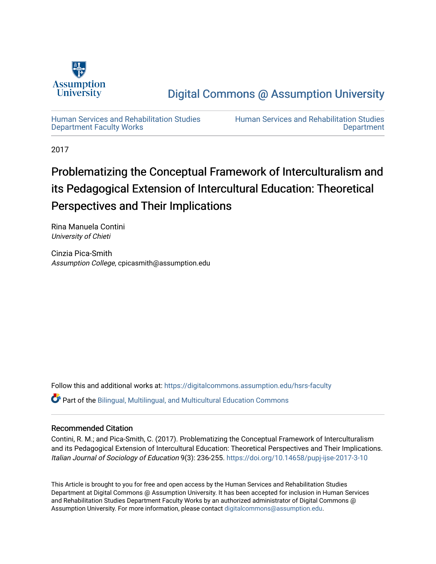

## [Digital Commons @ Assumption University](https://digitalcommons.assumption.edu/)

[Human Services and Rehabilitation Studies](https://digitalcommons.assumption.edu/hsrs-faculty)  [Department Faculty Works](https://digitalcommons.assumption.edu/hsrs-faculty)

[Human Services and Rehabilitation Studies](https://digitalcommons.assumption.edu/hsrs)  **Department** 

2017

# Problematizing the Conceptual Framework of Interculturalism and its Pedagogical Extension of Intercultural Education: Theoretical Perspectives and Their Implications

Rina Manuela Contini University of Chieti

Cinzia Pica-Smith Assumption College, cpicasmith@assumption.edu

Follow this and additional works at: [https://digitalcommons.assumption.edu/hsrs-faculty](https://digitalcommons.assumption.edu/hsrs-faculty?utm_source=digitalcommons.assumption.edu%2Fhsrs-faculty%2F8&utm_medium=PDF&utm_campaign=PDFCoverPages) 

Part of the [Bilingual, Multilingual, and Multicultural Education Commons](http://network.bepress.com/hgg/discipline/785?utm_source=digitalcommons.assumption.edu%2Fhsrs-faculty%2F8&utm_medium=PDF&utm_campaign=PDFCoverPages) 

### Recommended Citation

Contini, R. M.; and Pica-Smith, C. (2017). Problematizing the Conceptual Framework of Interculturalism and its Pedagogical Extension of Intercultural Education: Theoretical Perspectives and Their Implications. Italian Journal of Sociology of Education 9(3): 236-255.<https://doi.org/10.14658/pupj-ijse-2017-3-10>

This Article is brought to you for free and open access by the Human Services and Rehabilitation Studies Department at Digital Commons @ Assumption University. It has been accepted for inclusion in Human Services and Rehabilitation Studies Department Faculty Works by an authorized administrator of Digital Commons @ Assumption University. For more information, please contact [digitalcommons@assumption.edu.](mailto:digitalcommons@assumption.edu)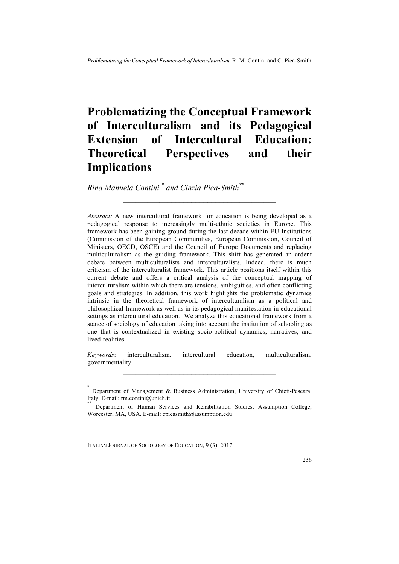## **Problematizing the Conceptual Framework of Interculturalism and its Pedagogical Extension of Intercultural Education: Theoretical Perspectives and their Implications**

 $\mathcal{L}=\{1,2,3,4,5\}$ 

*Rina Manuela Contini \* and Cinzia Pica-Smith\*\**

*Abstract:* A new intercultural framework for education is being developed as a pedagogical response to increasingly multi-ethnic societies in Europe. This framework has been gaining ground during the last decade within EU Institutions (Commission of the European Communities, European Commission, Council of Ministers, OECD, OSCE) and the Council of Europe Documents and replacing multiculturalism as the guiding framework. This shift has generated an ardent debate between multiculturalists and interculturalists. Indeed, there is much criticism of the interculturalist framework. This article positions itself within this current debate and offers a critical analysis of the conceptual mapping of interculturalism within which there are tensions, ambiguities, and often conflicting goals and strategies. In addition, this work highlights the problematic dynamics intrinsic in the theoretical framework of interculturalism as a political and philosophical framework as well as in its pedagogical manifestation in educational settings as intercultural education. We analyze this educational framework from a stance of sociology of education taking into account the institution of schooling as one that is contextualized in existing socio-political dynamics, narratives, and lived-realities.

*Keywords*: interculturalism, intercultural education, multiculturalism, governmentality  $\mathcal{L}_\text{max}$  and  $\mathcal{L}_\text{max}$  and  $\mathcal{L}_\text{max}$  and  $\mathcal{L}_\text{max}$ 

<sup>\*</sup> Department of Management & Business Administration, University of Chieti-Pescara, Italy. E-mail: rm.contini@unich.it

Department of Human Services and Rehabilitation Studies, Assumption College, Worcester, MA, USA. E-mail: cpicasmith@assumption.edu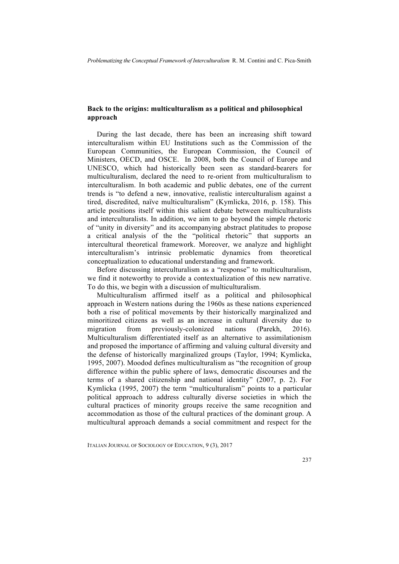#### **Back to the origins: multiculturalism as a political and philosophical approach**

During the last decade, there has been an increasing shift toward interculturalism within EU Institutions such as the Commission of the European Communities, the European Commission, the Council of Ministers, OECD, and OSCE. In 2008, both the Council of Europe and UNESCO, which had historically been seen as standard-bearers for multiculturalism, declared the need to re-orient from multiculturalism to interculturalism. In both academic and public debates, one of the current trends is "to defend a new, innovative, realistic interculturalism against a tired, discredited, naïve multiculturalism" (Kymlicka, 2016, p. 158). This article positions itself within this salient debate between multiculturalists and interculturalists. In addition, we aim to go beyond the simple rhetoric of "unity in diversity" and its accompanying abstract platitudes to propose a critical analysis of the the "political rhetoric" that supports an intercultural theoretical framework. Moreover, we analyze and highlight interculturalism's intrinsic problematic dynamics from theoretical conceptualization to educational understanding and framework.

Before discussing interculturalism as a "response" to multiculturalism, we find it noteworthy to provide a contextualization of this new narrative. To do this, we begin with a discussion of multiculturalism.

Multiculturalism affirmed itself as a political and philosophical approach in Western nations during the 1960s as these nations experienced both a rise of political movements by their historically marginalized and minoritized citizens as well as an increase in cultural diversity due to migration from previously-colonized nations (Parekh, 2016). Multiculturalism differentiated itself as an alternative to assimilationism and proposed the importance of affirming and valuing cultural diversity and the defense of historically marginalized groups (Taylor, 1994; Kymlicka, 1995, 2007). Moodod defines multiculturalism as "the recognition of group difference within the public sphere of laws, democratic discourses and the terms of a shared citizenship and national identity" (2007, p. 2). For Kymlicka (1995, 2007) the term "multiculturalism" points to a particular political approach to address culturally diverse societies in which the cultural practices of minority groups receive the same recognition and accommodation as those of the cultural practices of the dominant group. A multicultural approach demands a social commitment and respect for the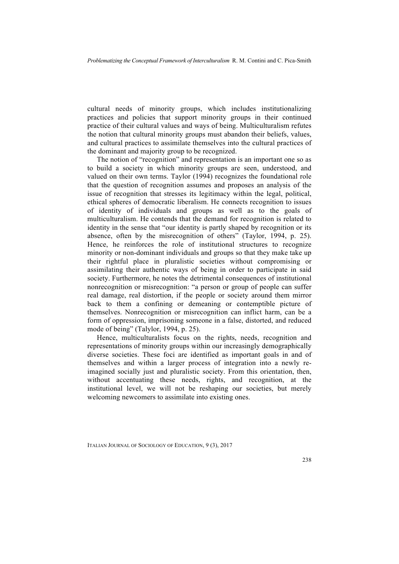cultural needs of minority groups, which includes institutionalizing practices and policies that support minority groups in their continued practice of their cultural values and ways of being. Multiculturalism refutes the notion that cultural minority groups must abandon their beliefs, values, and cultural practices to assimilate themselves into the cultural practices of the dominant and majority group to be recognized.

The notion of "recognition" and representation is an important one so as to build a society in which minority groups are seen, understood, and valued on their own terms. Taylor (1994) recognizes the foundational role that the question of recognition assumes and proposes an analysis of the issue of recognition that stresses its legitimacy within the legal, political, ethical spheres of democratic liberalism. He connects recognition to issues of identity of individuals and groups as well as to the goals of multiculturalism. He contends that the demand for recognition is related to identity in the sense that "our identity is partly shaped by recognition or its absence, often by the misrecognition of others" (Taylor, 1994, p. 25). Hence, he reinforces the role of institutional structures to recognize minority or non-dominant individuals and groups so that they make take up their rightful place in pluralistic societies without compromising or assimilating their authentic ways of being in order to participate in said society. Furthermore, he notes the detrimental consequences of institutional nonrecognition or misrecognition: "a person or group of people can suffer real damage, real distortion, if the people or society around them mirror back to them a confining or demeaning or contemptible picture of themselves. Nonrecognition or misrecognition can inflict harm, can be a form of oppression, imprisoning someone in a false, distorted, and reduced mode of being" (Talylor, 1994, p. 25).

Hence, multiculturalists focus on the rights, needs, recognition and representations of minority groups within our increasingly demographically diverse societies. These foci are identified as important goals in and of themselves and within a larger process of integration into a newly reimagined socially just and pluralistic society. From this orientation, then, without accentuating these needs, rights, and recognition, at the institutional level, we will not be reshaping our societies, but merely welcoming newcomers to assimilate into existing ones.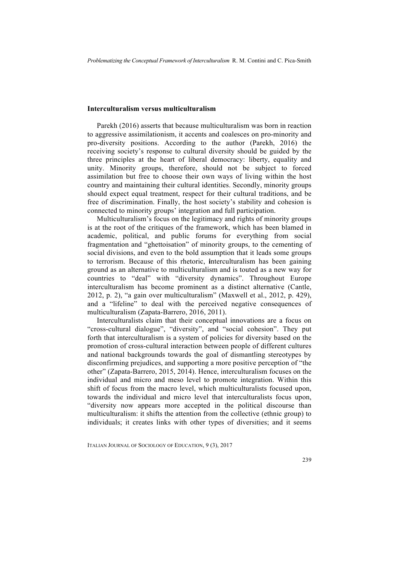#### **Interculturalism versus multiculturalism**

Parekh (2016) asserts that because multiculturalism was born in reaction to aggressive assimilationism, it accents and coalesces on pro-minority and pro-diversity positions. According to the author (Parekh, 2016) the receiving society's response to cultural diversity should be guided by the three principles at the heart of liberal democracy: liberty, equality and unity. Minority groups, therefore, should not be subject to forced assimilation but free to choose their own ways of living within the host country and maintaining their cultural identities. Secondly, minority groups should expect equal treatment, respect for their cultural traditions, and be free of discrimination. Finally, the host society's stability and cohesion is connected to minority groups' integration and full participation.

Multiculturalism's focus on the legitimacy and rights of minority groups is at the root of the critiques of the framework, which has been blamed in academic, political, and public forums for everything from social fragmentation and "ghettoisation" of minority groups, to the cementing of social divisions, and even to the bold assumption that it leads some groups to terrorism. Because of this rhetoric, **i**nterculturalism has been gaining ground as an alternative to multiculturalism and is touted as a new way for countries to "deal" with "diversity dynamics". Throughout Europe interculturalism has become prominent as a distinct alternative (Cantle, 2012, p. 2), "a gain over multiculturalism" (Maxwell et al., 2012, p. 429), and a "lifeline" to deal with the perceived negative consequences of multiculturalism (Zapata-Barrero, 2016, 2011).

Interculturalists claim that their conceptual innovations are a focus on "cross-cultural dialogue", "diversity", and "social cohesion". They put forth that interculturalism is a system of policies for diversity based on the promotion of cross-cultural interaction between people of different cultures and national backgrounds towards the goal of dismantling stereotypes by disconfirming prejudices, and supporting a more positive perception of "the other" (Zapata-Barrero, 2015, 2014). Hence, interculturalism focuses on the individual and micro and meso level to promote integration. Within this shift of focus from the macro level, which multiculturalists focused upon, towards the individual and micro level that interculturalists focus upon, "diversity now appears more accepted in the political discourse than multiculturalism: it shifts the attention from the collective (ethnic group) to individuals; it creates links with other types of diversities; and it seems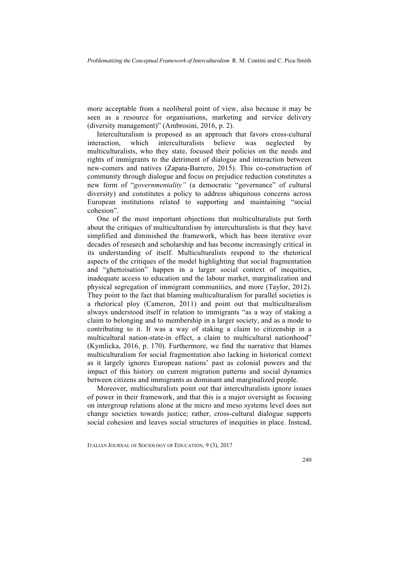more acceptable from a neoliberal point of view, also because it may be seen as a resource for organisations, marketing and service delivery (diversity management)" (Ambrosini, 2016, p. 2).

Interculturalism is proposed as an approach that favors cross-cultural interaction, which interculturalists believe was neglected by multiculturalists, who they state, focused their policies on the needs and rights of immigrants to the detriment of dialogue and interaction between new-comers and natives (Zapata-Barrero, 2015). This co-construction of community through dialogue and focus on prejudice reduction constitutes a new form of "*governmentality"* (a democratic "governance" of cultural diversity) and constitutes a policy to address ubiquitous concerns across European institutions related to supporting and maintaining "social cohesion".

One of the most important objections that multiculturalists put forth about the critiques of multiculturalism by interculturalists is that they have simplified and diminished the framework, which has been iterative over decades of research and scholarship and has become increasingly critical in its understanding of itself. Multiculturalists respond to the rhetorical aspects of the critiques of the model highlighting that social fragmentation and "ghettoisation" happen in a larger social context of inequities, inadequate access to education and the labour market, marginalization and physical segregation of immigrant communities, and more (Taylor, 2012). They point to the fact that blaming multiculturalism for parallel societies is a rhetorical ploy (Cameron, 2011) and point out that multiculturalism always understood itself in relation to immigrants "as a way of staking a claim to belonging and to membership in a larger society, and as a mode to contributing to it. It was a way of staking a claim to citizenship in a multicultural nation-state-in effect, a claim to multicultural nationhood" (Kymlicka, 2016, p. 170). Furthermore, we find the narrative that blames multiculturalism for social fragmentation also lacking in historical context as it largely ignores European nations' past as colonial powers and the impact of this history on current migration patterns and social dynamics between citizens and immigrants as dominant and marginalized people.

Moreover, multiculturalists point out that interculturalists ignore issues of power in their framework, and that this is a major oversight as focusing on intergroup relations alone at the micro and meso systems level does not change societies towards justice; rather, cross-cultural dialogue supports social cohesion and leaves social structures of inequities in place. Instead,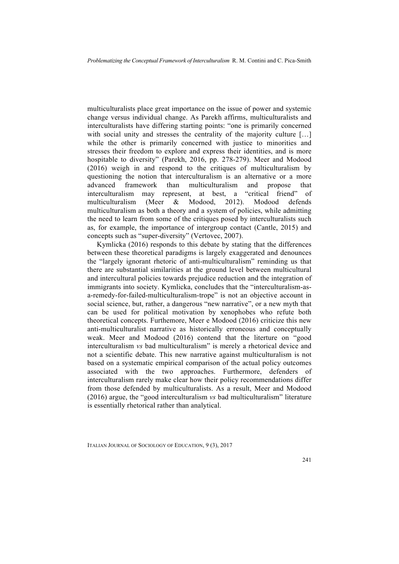multiculturalists place great importance on the issue of power and systemic change versus individual change. As Parekh affirms, multiculturalists and interculturalists have differing starting points: "one is primarily concerned with social unity and stresses the centrality of the majority culture [...] while the other is primarily concerned with justice to minorities and stresses their freedom to explore and express their identities, and is more hospitable to diversity" (Parekh, 2016, pp. 278-279). Meer and Modood (2016) weigh in and respond to the critiques of multiculturalism by questioning the notion that interculturalism is an alternative or a more advanced framework than multiculturalism and propose that interculturalism may represent, at best, a "critical friend" of multiculturalism (Meer & Modood, 2012). Modood defends multiculturalism as both a theory and a system of policies, while admitting the need to learn from some of the critiques posed by interculturalists such as, for example, the importance of intergroup contact (Cantle, 2015) and concepts such as "super-diversity" (Vertovec, 2007).

Kymlicka (2016) responds to this debate by stating that the differences between these theoretical paradigms is largely exaggerated and denounces the "largely ignorant rhetoric of anti-multiculturalism" reminding us that there are substantial similarities at the ground level between multicultural and intercultural policies towards prejudice reduction and the integration of immigrants into society. Kymlicka, concludes that the "interculturalism-asa-remedy-for-failed-multiculturalism-trope" is not an objective account in social science, but, rather, a dangerous "new narrative", or a new myth that can be used for political motivation by xenophobes who refute both theoretical concepts. Furthemore, Meer e Modood (2016) criticize this new anti-multiculturalist narrative as historically erroneous and conceptually weak. Meer and Modood (2016) contend that the literture on "good interculturalism *vs* bad multiculturalism" is merely a rhetorical device and not a scientific debate. This new narrative against multiculturalism is not based on a systematic empirical comparison of the actual policy outcomes associated with the two approaches. Furthermore, defenders of interculturalism rarely make clear how their policy recommendations differ from those defended by multiculturalists. As a result, Meer and Modood (2016) argue, the "good interculturalism *vs* bad multiculturalism" literature is essentially rhetorical rather than analytical.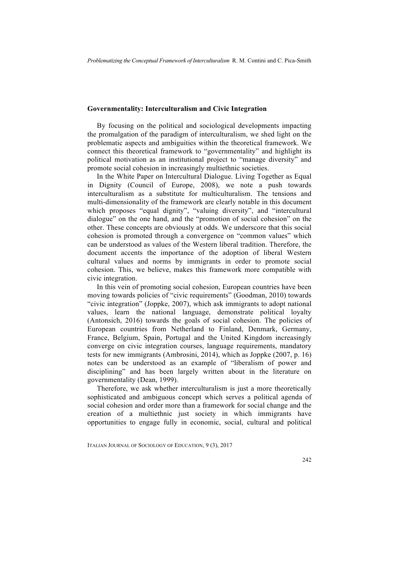#### **Governmentality: Interculturalism and Civic Integration**

By focusing on the political and sociological developments impacting the promulgation of the paradigm of interculturalism, we shed light on the problematic aspects and ambiguities within the theoretical framework. We connect this theoretical framework to "governmentality" and highlight its political motivation as an institutional project to "manage diversity" and promote social cohesion in increasingly multiethnic societies.

In the White Paper on Intercultural Dialogue. Living Together as Equal in Dignity (Council of Europe, 2008), we note a push towards interculturalism as a substitute for multiculturalism. The tensions and multi-dimensionality of the framework are clearly notable in this document which proposes "equal dignity", "valuing diversity", and "intercultural dialogue" on the one hand, and the "promotion of social cohesion" on the other. These concepts are obviously at odds. We underscore that this social cohesion is promoted through a convergence on "common values" which can be understood as values of the Western liberal tradition. Therefore, the document accents the importance of the adoption of liberal Western cultural values and norms by immigrants in order to promote social cohesion. This, we believe, makes this framework more compatible with civic integration.

In this vein of promoting social cohesion, European countries have been moving towards policies of "civic requirements" (Goodman, 2010) towards "civic integration" (Joppke, 2007), which ask immigrants to adopt national values, learn the national language, demonstrate political loyalty (Antonsich, 2016) towards the goals of social cohesion. The policies of European countries from Netherland to Finland, Denmark, Germany, France, Belgium, Spain, Portugal and the United Kingdom increasingly converge on civic integration courses, language requirements, mandatory tests for new immigrants (Ambrosini, 2014), which as Joppke (2007, p. 16) notes can be understood as an example of "liberalism of power and disciplining" and has been largely written about in the literature on governmentality (Dean, 1999).

Therefore, we ask whether interculturalism is just a more theoretically sophisticated and ambiguous concept which serves a political agenda of social cohesion and order more than a framework for social change and the creation of a multiethnic just society in which immigrants have opportunities to engage fully in economic, social, cultural and political

ITALIAN JOURNAL OF SOCIOLOGY OF EDUCATION, 9 (3), 2017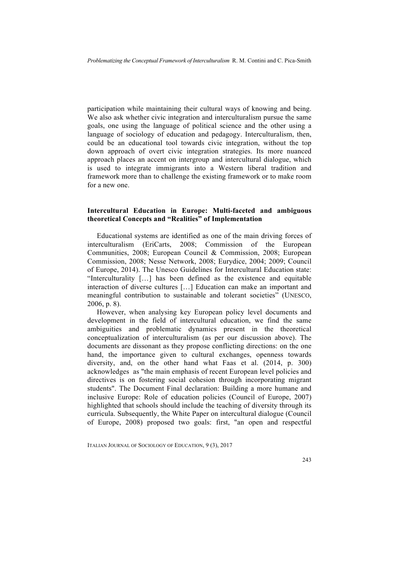participation while maintaining their cultural ways of knowing and being. We also ask whether civic integration and interculturalism pursue the same goals, one using the language of political science and the other using a language of sociology of education and pedagogy. Interculturalism, then, could be an educational tool towards civic integration, without the top down approach of overt civic integration strategies. Its more nuanced approach places an accent on intergroup and intercultural dialogue, which is used to integrate immigrants into a Western liberal tradition and framework more than to challenge the existing framework or to make room for a new one.

#### **Intercultural Education in Europe: Multi-faceted and ambiguous theoretical Concepts and "Realities" of Implementation**

Educational systems are identified as one of the main driving forces of interculturalism (EriCarts, 2008; Commission of the European Communities, 2008; European Council & Commission, 2008; European Commission, 2008; Nesse Network, 2008; Eurydice, 2004; 2009; Council of Europe, 2014). The Unesco Guidelines for Intercultural Education state: "Interculturality […] has been defined as the existence and equitable interaction of diverse cultures […] Education can make an important and meaningful contribution to sustainable and tolerant societies" (UNESCO, 2006, p. 8).

However, when analysing key European policy level documents and development in the field of intercultural education, we find the same ambiguities and problematic dynamics present in the theoretical conceptualization of interculturalism (as per our discussion above). The documents are dissonant as they propose conflicting directions: on the one hand, the importance given to cultural exchanges, openness towards diversity, and, on the other hand what Faas et al. (2014, p. 300) acknowledges as "the main emphasis of recent European level policies and directives is on fostering social cohesion through incorporating migrant students". The Document Final declaration: Building a more humane and inclusive Europe: Role of education policies (Council of Europe, 2007) highlighted that schools should include the teaching of diversity through its curricula. Subsequently, the White Paper on intercultural dialogue (Council of Europe, 2008) proposed two goals: first, "an open and respectful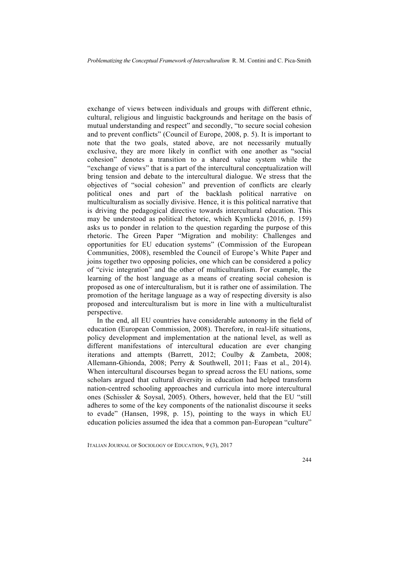exchange of views between individuals and groups with different ethnic, cultural, religious and linguistic backgrounds and heritage on the basis of mutual understanding and respect" and secondly, "to secure social cohesion and to prevent conflicts" (Council of Europe, 2008, p. 5). It is important to note that the two goals, stated above, are not necessarily mutually exclusive, they are more likely in conflict with one another as "social cohesion" denotes a transition to a shared value system while the "exchange of views" that is a part of the intercultural conceptualization will bring tension and debate to the intercultural dialogue. We stress that the objectives of "social cohesion" and prevention of conflicts are clearly political ones and part of the backlash political narrative on multiculturalism as socially divisive. Hence, it is this political narrative that is driving the pedagogical directive towards intercultural education. This may be understood as political rhetoric, which Kymlicka (2016, p. 159) asks us to ponder in relation to the question regarding the purpose of this rhetoric. The Green Paper "Migration and mobility: Challenges and opportunities for EU education systems" (Commission of the European Communities, 2008), resembled the Council of Europe's White Paper and joins together two opposing policies, one which can be considered a policy of "civic integration" and the other of multiculturalism. For example, the learning of the host language as a means of creating social cohesion is proposed as one of interculturalism, but it is rather one of assimilation. The promotion of the heritage language as a way of respecting diversity is also proposed and interculturalism but is more in line with a multiculturalist perspective.

In the end, all EU countries have considerable autonomy in the field of education (European Commission, 2008). Therefore, in real-life situations, policy development and implementation at the national level, as well as different manifestations of intercultural education are ever changing iterations and attempts (Barrett, 2012; Coulby & Zambeta, 2008; Allemann-Ghionda, 2008; Perry & Southwell, 2011; Faas et al., 2014). When intercultural discourses began to spread across the EU nations, some scholars argued that cultural diversity in education had helped transform nation-centred schooling approaches and curricula into more intercultural ones (Schissler & Soysal, 2005). Others, however, held that the EU "still adheres to some of the key components of the nationalist discourse it seeks to evade" (Hansen, 1998, p. 15), pointing to the ways in which EU education policies assumed the idea that a common pan-European "culture"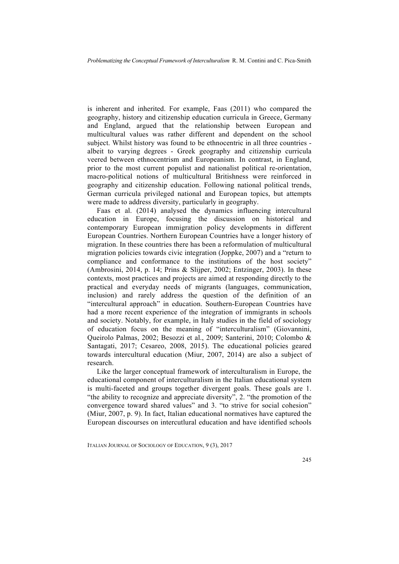is inherent and inherited. For example, Faas (2011) who compared the geography, history and citizenship education curricula in Greece, Germany and England, argued that the relationship between European and multicultural values was rather different and dependent on the school subject. Whilst history was found to be ethnocentric in all three countries albeit to varying degrees - Greek geography and citizenship curricula veered between ethnocentrism and Europeanism. In contrast, in England, prior to the most current populist and nationalist political re-orientation, macro-political notions of multicultural Britishness were reinforced in geography and citizenship education. Following national political trends, German curricula privileged national and European topics, but attempts were made to address diversity, particularly in geography.

Faas et al. (2014) analysed the dynamics influencing intercultural education in Europe, focusing the discussion on historical and contemporary European immigration policy developments in different European Countries. Northern European Countries have a longer history of migration. In these countries there has been a reformulation of multicultural migration policies towards civic integration (Joppke, 2007) and a "return to compliance and conformance to the institutions of the host society" (Ambrosini, 2014, p. 14; Prins & Slijper, 2002; Entzinger, 2003). In these contexts, most practices and projects are aimed at responding directly to the practical and everyday needs of migrants (languages, communication, inclusion) and rarely address the question of the definition of an "intercultural approach" in education. Southern-European Countries have had a more recent experience of the integration of immigrants in schools and society. Notably, for example, in Italy studies in the field of sociology of education focus on the meaning of "interculturalism" (Giovannini, Queirolo Palmas, 2002; Besozzi et al., 2009; Santerini, 2010; Colombo & Santagati, 2017; Cesareo, 2008, 2015). The educational policies geared towards intercultural education (Miur, 2007, 2014) are also a subject of research.

Like the larger conceptual framework of interculturalism in Europe, the educational component of interculturalism in the Italian educational system is multi-faceted and groups together divergent goals. These goals are 1. "the ability to recognize and appreciate diversity", 2. "the promotion of the convergence toward shared values" and 3. "to strive for social cohesion" (Miur, 2007, p. 9). In fact, Italian educational normatives have captured the European discourses on intercutlural education and have identified schools

ITALIAN JOURNAL OF SOCIOLOGY OF EDUCATION, 9 (3), 2017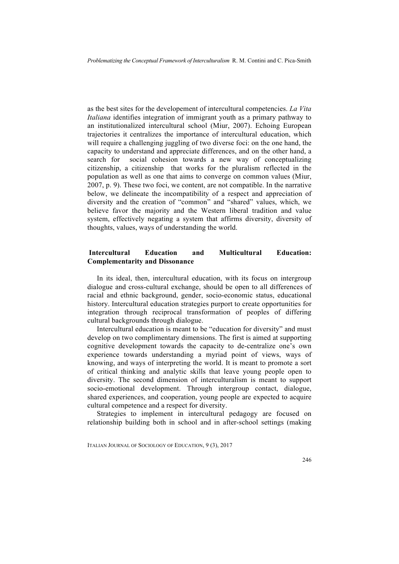as the best sites for the developement of intercultural competencies. *La Vita Italiana* identifies integration of immigrant youth as a primary pathway to an institutionalized intercultural school (Miur, 2007). Echoing European trajectories it centralizes the importance of intercultural education, which will require a challenging juggling of two diverse foci: on the one hand, the capacity to understand and appreciate differences, and on the other hand, a search for social cohesion towards a new way of conceptualizing citizenship, a citizenship that works for the pluralism reflected in the population as well as one that aims to converge on common values (Miur, 2007, p. 9). These two foci, we content, are not compatible. In the narrative below, we delineate the incompatibility of a respect and appreciation of diversity and the creation of "common" and "shared" values, which, we believe favor the majority and the Western liberal tradition and value system, effectively negating a system that affirms diversity, diversity of thoughts, values, ways of understanding the world.

### **Intercultural Education and Multicultural Education: Complementarity and Dissonance**

In its ideal, then, intercultural education, with its focus on intergroup dialogue and cross-cultural exchange, should be open to all differences of racial and ethnic background, gender, socio-economic status, educational history. Intercultural education strategies purport to create opportunities for integration through reciprocal transformation of peoples of differing cultural backgrounds through dialogue.

Intercultural education is meant to be "education for diversity" and must develop on two complimentary dimensions. The first is aimed at supporting cognitive development towards the capacity to de-centralize one's own experience towards understanding a myriad point of views, ways of knowing, and ways of interpreting the world. It is meant to promote a sort of critical thinking and analytic skills that leave young people open to diversity. The second dimension of interculturalism is meant to support socio-emotional development. Through intergroup contact, dialogue, shared experiences, and cooperation, young people are expected to acquire cultural competence and a respect for diversity.

Strategies to implement in intercultural pedagogy are focused on relationship building both in school and in after-school settings (making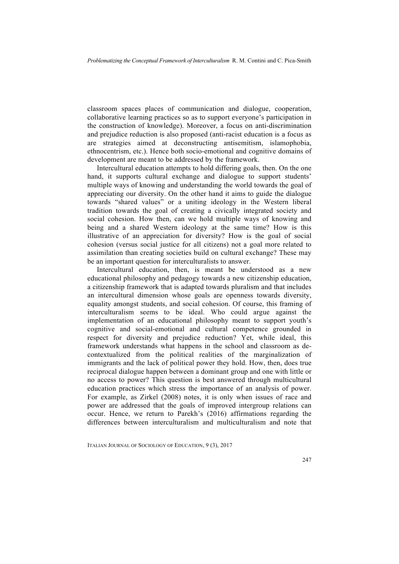classroom spaces places of communication and dialogue, cooperation, collaborative learning practices so as to support everyone's participation in the construction of knowledge). Moreover, a focus on anti-discrimination and prejudice reduction is also proposed (anti-racist education is a focus as are strategies aimed at deconstructing antisemitism, islamophobia, ethnocentrism, etc.). Hence both socio-emotional and cognitive domains of development are meant to be addressed by the framework.

Intercultural education attempts to hold differing goals, then. On the one hand, it supports cultural exchange and dialogue to support students' multiple ways of knowing and understanding the world towards the goal of appreciating our diversity. On the other hand it aims to guide the dialogue towards "shared values" or a uniting ideology in the Western liberal tradition towards the goal of creating a civically integrated society and social cohesion. How then, can we hold multiple ways of knowing and being and a shared Western ideology at the same time? How is this illustrative of an appreciation for diversity? How is the goal of social cohesion (versus social justice for all citizens) not a goal more related to assimilation than creating societies build on cultural exchange? These may be an important question for interculturalists to answer.

Intercultural education, then, is meant be understood as a new educational philosophy and pedagogy towards a new citizenship education, a citizenship framework that is adapted towards pluralism and that includes an intercultural dimension whose goals are openness towards diversity, equality amongst students, and social cohesion. Of course, this framing of interculturalism seems to be ideal. Who could argue against the implementation of an educational philosophy meant to support youth's cognitive and social-emotional and cultural competence grounded in respect for diversity and prejudice reduction? Yet, while ideal, this framework understands what happens in the school and classroom as decontextualized from the political realities of the marginalization of immigrants and the lack of political power they hold. How, then, does true reciprocal dialogue happen between a dominant group and one with little or no access to power? This question is best answered through multicultural education practices which stress the importance of an analysis of power. For example, as Zirkel (2008) notes, it is only when issues of race and power are addressed that the goals of improved intergroup relations can occur. Hence, we return to Parekh's (2016) affirmations regarding the differences between interculturalism and multiculturalism and note that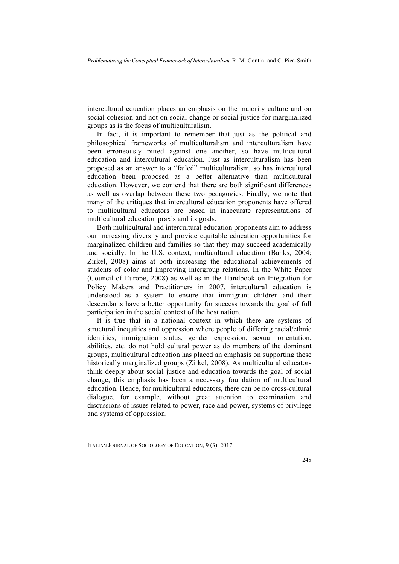intercultural education places an emphasis on the majority culture and on social cohesion and not on social change or social justice for marginalized groups as is the focus of multiculturalism.

In fact, it is important to remember that just as the political and philosophical frameworks of multiculturalism and interculturalism have been erroneously pitted against one another, so have multicultural education and intercultural education. Just as interculturalism has been proposed as an answer to a "failed" multiculturalism, so has intercultural education been proposed as a better alternative than multicultural education. However, we contend that there are both significant differences as well as overlap between these two pedagogies. Finally, we note that many of the critiques that intercultural education proponents have offered to multicultural educators are based in inaccurate representations of multicultural education praxis and its goals.

Both multicultural and intercultural education proponents aim to address our increasing diversity and provide equitable education opportunities for marginalized children and families so that they may succeed academically and socially. In the U.S. context, multicultural education (Banks, 2004; Zirkel, 2008) aims at both increasing the educational achievements of students of color and improving intergroup relations. In the White Paper (Council of Europe, 2008) as well as in the Handbook on Integration for Policy Makers and Practitioners in 2007, intercultural education is understood as a system to ensure that immigrant children and their descendants have a better opportunity for success towards the goal of full participation in the social context of the host nation.

It is true that in a national context in which there are systems of structural inequities and oppression where people of differing racial/ethnic identities, immigration status, gender expression, sexual orientation, abilities, etc. do not hold cultural power as do members of the dominant groups, multicultural education has placed an emphasis on supporting these historically marginalized groups (Zirkel, 2008). As multicultural educators think deeply about social justice and education towards the goal of social change, this emphasis has been a necessary foundation of multicultural education. Hence, for multicultural educators, there can be no cross-cultural dialogue, for example, without great attention to examination and discussions of issues related to power, race and power, systems of privilege and systems of oppression.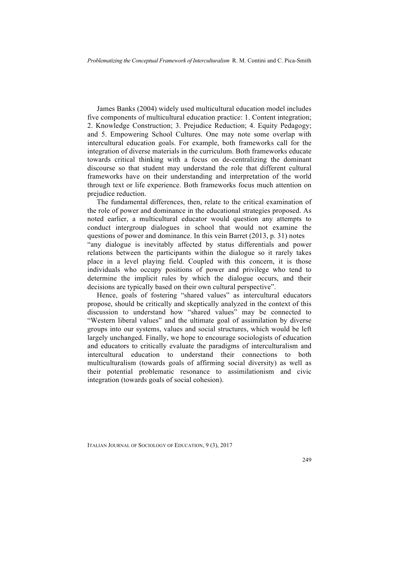James Banks (2004) widely used multicultural education model includes five components of multicultural education practice: 1. Content integration; 2. Knowledge Construction; 3. Prejudice Reduction; 4. Equity Pedagogy; and 5. Empowering School Cultures. One may note some overlap with intercultural education goals. For example, both frameworks call for the integration of diverse materials in the curriculum. Both frameworks educate towards critical thinking with a focus on de-centralizing the dominant discourse so that student may understand the role that different cultural frameworks have on their understanding and interpretation of the world through text or life experience. Both frameworks focus much attention on prejudice reduction.

The fundamental differences, then, relate to the critical examination of the role of power and dominance in the educational strategies proposed. As noted earlier, a multicultural educator would question any attempts to conduct intergroup dialogues in school that would not examine the questions of power and dominance. In this vein Barret (2013, p. 31) notes "any dialogue is inevitably affected by status differentials and power relations between the participants within the dialogue so it rarely takes place in a level playing field. Coupled with this concern, it is those individuals who occupy positions of power and privilege who tend to determine the implicit rules by which the dialogue occurs, and their decisions are typically based on their own cultural perspective".

Hence, goals of fostering "shared values" as intercultural educators propose, should be critically and skeptically analyzed in the context of this discussion to understand how "shared values" may be connected to "Western liberal values" and the ultimate goal of assimilation by diverse groups into our systems, values and social structures, which would be left largely unchanged. Finally, we hope to encourage sociologists of education and educators to critically evaluate the paradigms of interculturalism and intercultural education to understand their connections to both multiculturalism (towards goals of affirming social diversity) as well as their potential problematic resonance to assimilationism and civic integration (towards goals of social cohesion).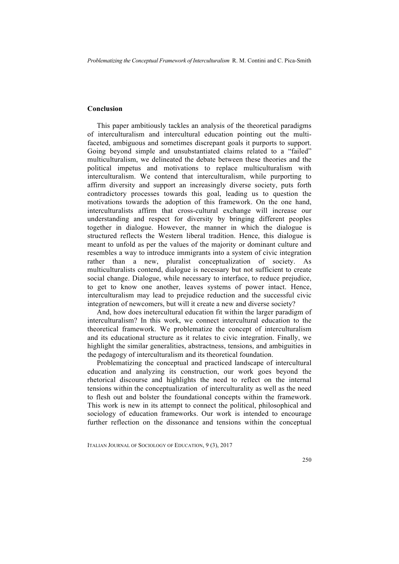#### **Conclusion**

This paper ambitiously tackles an analysis of the theoretical paradigms of interculturalism and intercultural education pointing out the multifaceted, ambiguous and sometimes discrepant goals it purports to support. Going beyond simple and unsubstantiated claims related to a "failed" multiculturalism, we delineated the debate between these theories and the political impetus and motivations to replace multiculturalism with interculturalism. We contend that interculturalism, while purporting to affirm diversity and support an increasingly diverse society, puts forth contradictory processes towards this goal, leading us to question the motivations towards the adoption of this framework. On the one hand, interculturalists affirm that cross-cultural exchange will increase our understanding and respect for diversity by bringing different peoples together in dialogue. However, the manner in which the dialogue is structured reflects the Western liberal tradition. Hence, this dialogue is meant to unfold as per the values of the majority or dominant culture and resembles a way to introduce immigrants into a system of civic integration rather than a new, pluralist conceptualization of society. As multiculturalists contend, dialogue is necessary but not sufficient to create social change. Dialogue, while necessary to interface, to reduce prejudice, to get to know one another, leaves systems of power intact. Hence, interculturalism may lead to prejudice reduction and the successful civic integration of newcomers, but will it create a new and diverse society?

And, how does inetercultural education fit within the larger paradigm of interculturalism? In this work, we connect intercultural education to the theoretical framework. We problematize the concept of interculturalism and its educational structure as it relates to civic integration. Finally, we highlight the similar generalities, abstractness, tensions, and ambiguities in the pedagogy of interculturalism and its theoretical foundation.

Problematizing the conceptual and practiced landscape of intercultural education and analyzing its construction, our work goes beyond the rhetorical discourse and highlights the need to reflect on the internal tensions within the conceptualization of interculturality as well as the need to flesh out and bolster the foundational concepts within the framework. This work is new in its attempt to connect the political, philosophical and sociology of education frameworks. Our work is intended to encourage further reflection on the dissonance and tensions within the conceptual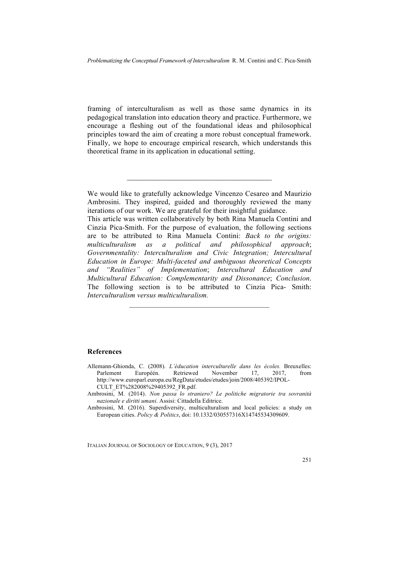framing of interculturalism as well as those same dynamics in its pedagogical translation into education theory and practice. Furthermore, we encourage a fleshing out of the foundational ideas and philosophical principles toward the aim of creating a more robust conceptual framework. Finally, we hope to encourage empirical research, which understands this theoretical frame in its application in educational setting.

 $\mathcal{L}_\text{max}$ 

This article was written collaboratively by both Rina Manuela Contini and Cinzia Pica-Smith. For the purpose of evaluation, the following sections are to be attributed to Rina Manuela Contini: *Back to the origins: multiculturalism as a political and philosophical approach*; *Governmentality: Interculturalism and Civic Integration; Intercultural Education in Europe: Multi-faceted and ambiguous theoretical Concepts and "Realities" of Implementation*; *Intercultural Education and Multicultural Education: Complementarity and Dissonance*; *Conclusion*. The following section is to be attributed to Cinzia Pica- Smith: *Interculturalism versus multiculturalism.*

 $\mathcal{L}_\text{max} = \mathcal{L}_\text{max} = \mathcal{L}_\text{max} = \mathcal{L}_\text{max} = \mathcal{L}_\text{max}$ 

#### **References**

- Allemann-Ghionda, C. (2008). *L'éducation interculturelle dans les écoles.* Breuxelles: Parlement Européén. Retriewed November 17, 2017, from http://www.europarl.europa.eu/RegData/etudes/etudes/join/2008/405392/IPOL-CULT\_ET%282008%29405392\_FR.pdf.
- Ambrosini, M. (2014). *Non passa lo straniero? Le politiche migratorie tra sovranità nazionale e diritti umani*. Assisi: Cittadella Editrice.
- Ambrosini, M. (2016). Superdiversity, multiculturalism and local policies: a study on European cities. *Policy & Politics*, doi: 10.1332/030557316X14745534309609.

We would like to gratefully acknowledge Vincenzo Cesareo and Maurizio Ambrosini. They inspired, guided and thoroughly reviewed the many iterations of our work. We are grateful for their insightful guidance.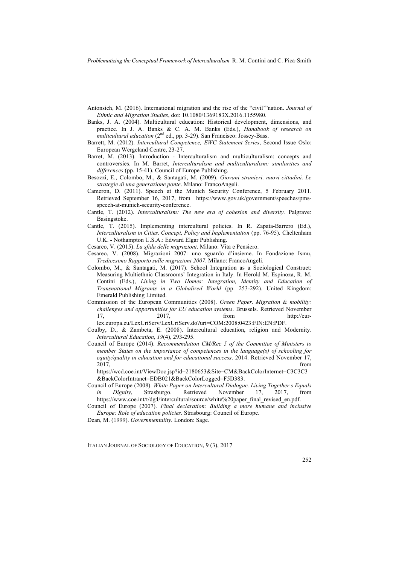- Antonsich, M. (2016). International migration and the rise of the "civil'"nation. *Journal of Ethnic and Migration Studies*, doi: 10.1080/1369183X.2016.1155980.
- Banks, J. A. (2004). Multicultural education: Historical development, dimensions, and practice. In J. A. Banks & C. A. M. Banks (Eds.), *Handbook of research on multicultural education* (2nd ed., pp. 3-29). San Francisco: Jossey-Bass.
- Barrett, M. (2012). *Intercultural Competence, EWC Statement Series*, Second Issue Oslo: European Wergeland Centre, 23-27.
- Barret, M. (2013). Introduction Interculturalism and multiculturalism: concepts and controversies. In M. Barret, *Interculturalism and multiculturalism: similarities and differences* (pp. 15-41). Council of Europe Publishing.
- Besozzi, E., Colombo, M., & Santagati, M. (2009). *Giovani stranieri, nuovi cittadini. Le strategie di una generazione ponte*. Milano: FrancoAngeli.
- Cameron, D. (2011). Speech at the Munich Security Conference, 5 February 2011. Retrieved September 16, 2017, from https://www.gov.uk/government/speeches/pmsspeech-at-munich-security-conference.
- Cantle, T. (2012). *Interculturalism: The new era of cohesion and diversity.* Palgrave: Basingstoke.
- Cantle, T. (2015). Implementing intercultural policies. In R. Zapata-Barrero (Ed.), *Interculturalism in Cities. Concept, Policy and Implementation* (pp. 76-95)*.* Cheltenham U.K. - Nothampton U.S.A.: Edward Elgar Publishing.
- Cesareo, V. (2015). *La sfida delle migrazioni*. Milano: Vita e Pensiero.
- Cesareo, V. (2008). Migrazioni 2007: uno sguardo d'insieme. In Fondazione Ismu, *Tredicesimo Rapporto sulle migrazioni 2007*. Milano: FrancoAngeli.
- Colombo, M., & Santagati, M. (2017). School Integration as a Sociological Construct: Measuring Multiethnic Classrooms' Integration in Italy. In Herold M. Espinoza, R. M. Contini (Eds.), *Living in Two Homes: Integration, Identity and Education of Transnational Migrants in a Globalized World* (pp. 253-292). United Kingdom: Emerald Publishing Limited.
- Commission of the European Communities (2008). *Green Paper. Migration & mobility: challenges and opportunities for EU education systems*. Brussels. Retrieved November 17, 2017, from http://eur-

lex.europa.eu/LexUriServ/LexUriServ.do?uri=COM:2008:0423:FIN:EN:PDF.

- Coulby, D., & Zambeta, E. (2008). Intercultural education, religion and Modernity. *Intercultural Education*, *19*(4), 293-295.
- Council of Europe (2014). *Recommendation CM/Rec 5 of the Committee of Ministers to member States on the importance of competences in the language(s) of schooling for equity/quality in education and for educational success*. 2014. Retrieved November 17,  $2017$ , from

https://wcd.coe.int/ViewDoc.jsp?id=2180653&Site=CM&BackColorInternet=C3C3C3 &BackColorIntranet=EDB021&BackColorLogged=F5D383.

- Council of Europe (2008). *White Paper on Intercultural Dialogue. Living Together s Equals in Dignity*, Strasburgo. Retrieved November 17, 2017, from https://www.coe.int/t/dg4/intercultural/source/white%20paper\_final\_revised\_en.pdf.
- Council of Europe (2007). *Final declaration: Building a more humane and inclusive Europe: Role of education policies.* Strasbourg: Council of Europe.

Dean, M. (1999). *Governmentality.* London: Sage.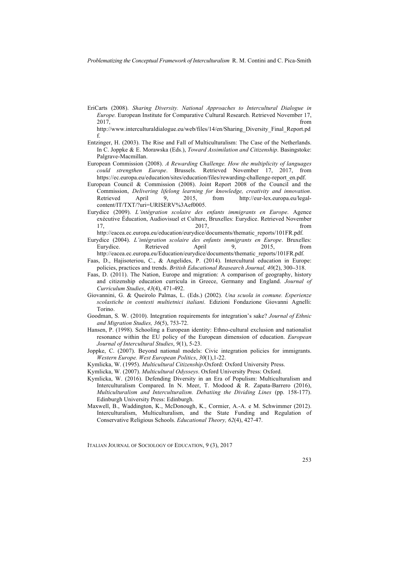EriCarts (2008). *Sharing Diversity. National Approaches to Intercultural Dialogue in Europe.* European Institute for Comparative Cultural Research. Retrieved November 17,  $2017$ , from

http://www.interculturaldialogue.eu/web/files/14/en/Sharing\_Diversity\_Final\_Report.pd f.

- Entzinger, H. (2003). The Rise and Fall of Multiculturalism: The Case of the Netherlands. In C. Joppke & E. Morawska (Eds.), *Toward Assimilation and Citizenship*. Basingstoke: Palgrave-Macmillan.
- European Commission (2008). *A Rewarding Challenge. How the multiplicity of languages could strengthen Europe*. Brussels. Retrieved November 17, 2017, from https://ec.europa.eu/education/sites/education/files/rewarding-challenge-report\_en.pdf.
- European Council & Commission (2008). Joint Report 2008 of the Council and the Commission, *Delivering lifelong learning for knowledge, creativity and innovation*. Retrieved April 9, 2015, from http://eur-lex.europa.eu/legalcontent/IT/TXT/?uri=URISERV%3Aef0005.
- Eurydice (2009). *L'intégration scolaire des enfants immigrants en Europe*. Agence exécutive Éducation, Audiovisuel et Culture, Bruxelles: Eurydice. Retrieved November 17, 2017, from
- http://eacea.ec.europa.eu/education/eurydice/documents/thematic\_reports/101FR.pdf. Eurydice (2004). *L'intégration scolaire des enfants immigrants en Europe*. Bruxelles: Eurydice. Retrieved April 9, 2015, from http://eacea.ec.europa.eu/Education/eurydice/documents/thematic\_reports/101FR.pdf.
- Faas, D., Hajisoteriou, C., & Angelides, P. (2014). Intercultural education in Europe: policies, practices and trends. *British Educational Reasearch Journal, 40*(2), 300**–**318.
- Faas, D. (2011). The Nation, Europe and migration: A comparison of geography, history and citizenship education curricula in Greece, Germany and England. *Journal of Curriculum Studies*, *43*(4), 471-492.
- Giovannini, G. & Queirolo Palmas, L. (Eds.) (2002). *Una scuola in comune. Esperienze scolastiche in contesti multietnici italiani*. Edizioni Fondazione Giovanni Agnelli: Torino.
- Goodman, S. W. (2010). Integration requirements for integration's sake? *Journal of Ethnic and Migration Studies, 36*(5), 753-72.
- Hansen, P. (1998). Schooling a European identity: Ethno-cultural exclusion and nationalist resonance within the EU policy of the European dimension of education. *European Journal of Intercultural Studies*, *9*(1), 5-23.
- Joppke, C. (2007). Beyond national models: Civic integration policies for immigrants. *Western Europe. West European Politics*, *30*(1),1-22.
- Kymlicka, W. (1995). *Multicultural Citizenship*.Oxford: Oxford University Press.
- Kymlicka, W. (2007). *Multicultural Odysseys*. Oxford University Press: Oxford.
- Kymlicka, W. (2016). Defending Diversity in an Era of Populism: Multiculturalism and Interculturalism Compared. In N. Meer, T. Modood & R. Zapata-Barrero (2016), *Multiculturalism and Interculturalism. Debatiing the Dividing Lines* (pp. 158-177). Edinburgh University Press: Edinburgh.
- Maxwell, B., Waddington, K., McDonough, K., Cormier, A.-A. e M. Schwimmer (2012). Interculturalism, Multiculturalism, and the State Funding and Regulation of Conservative Religious Schools. *Educational Theory, 62*(4), 427-47.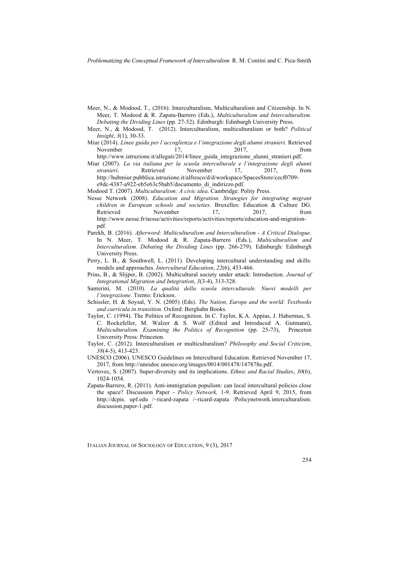- Meer, N., & Modood, T., (2016). Interculturalism, Multiculturalism and Citizenship. In N. Meer, T. Modood & R. Zapata-Barrero (Eds.), *Multiculturalism and Interculturalism. Debating the Dividing Lines* (pp. 27-52). Edinburgh: Edinburgh University Press.
- Meer, N., & Modood, T. (2012). Interculturalism, multiculturalism or both? *Political Insight*, *3*(1), 30-33.
- Miur (2014). *Linee guida per l'accoglienza e l'integrazione degli alunni stranieri.* Retrieved November 17, 2017, from
- http://www.istruzione.it/allegati/2014/linee\_guida\_integrazione\_alunni\_stranieri.pdf. Miur (2007). *La via italiana per la scuola interculturale e l'integrazione degli alunni*
- *stranieri*. Retrieved November 17, 2017, from http://hubmiur.pubblica.istruzione.it/alfresco/d/d/workspace/SpacesStore/cecf0709 e9dc-4387-a922-eb5e63c5bab5/documento\_di\_indirizzo.pdf.
- Modood T. (2007). *Multiculturalism: A civic idea*. Cambridge: Polity Press.
- Nesse Network (2008). *Education and Migration. Strategies for integrating migrant children in European schools and societies*. Bruxelles: Education & Culture DG. Retrieved November 17, 2017, from http://www.nesse.fr/nesse/activities/reports/activities/reports/education-and-migrationpdf.
- Parekh, B. (2016). *Afterword: Multiculturalism and Interculturalism - A Critical Dialogue*. In N. Meer, T. Modood & R. Zapata-Barrero (Eds.), *Multiculturalism and Interculturalism. Debating the Dividing Lines* (pp. 266-279). Edinburgh: Edinburgh University Press.
- Perry, L. B., & Southwell, L. (2011). Developing intercultural understanding and skills: models and approaches. *Intercultural Education*, *22*(6), 453-466.
- Prins, B., & Slijper, B. (2002). Multicultural society under attack: Introduction. *Journal of Integrational Migration and Integration*, *3*(3-4), 313-328.
- Santerini, M. (2010). *La qualità della scuola interculturale. Nuovi modelli per l'integrazione*. Trento: Erickson.
- Schissler, H. & Soysal, Y. N. (2005) (Eds). *The Nation, Europe and the world: Textbooks and curricula in transition.* Oxford: Berghahn Books.
- Taylor, C. (1994). The Politics of Recognition. In C. Taylor, K.A. Appias, J. Habermas, S. C. Rockefeller, M. Walzer & S. Wolf (Edited and Introduced A. Gutmann), *Multiculturalism. Examining the Politics of Recognition* (pp. 25-73), Princeton University Press: Princeton.
- Taylor, C. (2012). Interculturalism or multiculturalism? *Philosophy and Social Criticism*, *38*(4-5), 413-423.
- UNESCO (2006). UNESCO Guidelines on Intercultural Education. Retrieved November 17, 2017, from http://unesdoc.unesco.org/images/0014/001478/147878e.pdf.
- Vertovec, S. (2007). Super-diversity and its implications. *Ethnic and Racial Studies*, *30*(6), 1024-1054.
- Zapata-Barrero, R. (2011). Anti-immigration populism: can local intercultural policies close the space? Discussion Paper - *Policy Network,* 1-9. Retrieved April 9, 2015, from http://dcpis. upf.edu /~ricard-zapata /~ricard-zapata /Policynetwork.interculturalism. discussion.paper-1.pdf.